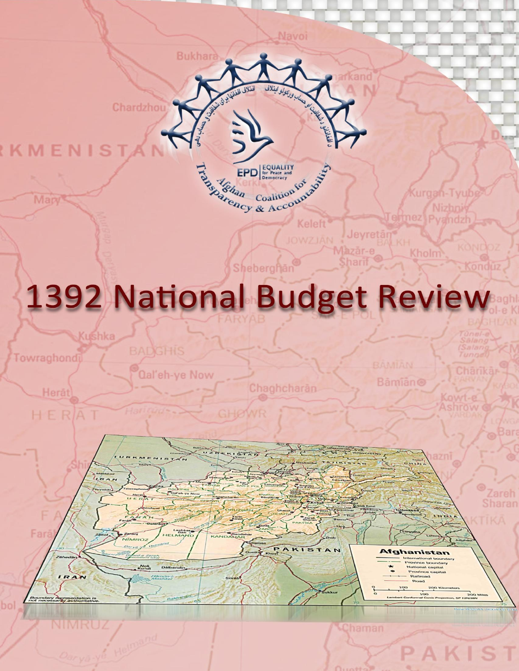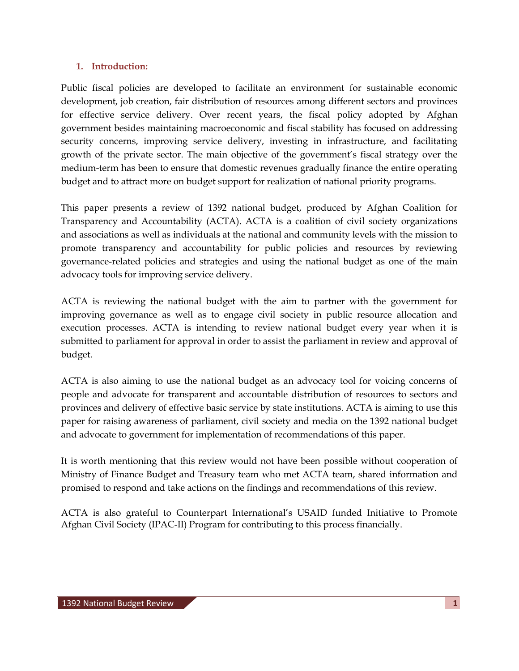## **1. Introduction:**

Public fiscal policies are developed to facilitate an environment for sustainable economic development, job creation, fair distribution of resources among different sectors and provinces for effective service delivery. Over recent years, the fiscal policy adopted by Afghan government besides maintaining macroeconomic and fiscal stability has focused on addressing security concerns, improving service delivery, investing in infrastructure, and facilitating growth of the private sector. The main objective of the government's fiscal strategy over the medium-term has been to ensure that domestic revenues gradually finance the entire operating budget and to attract more on budget support for realization of national priority programs.

This paper presents a review of 1392 national budget, produced by Afghan Coalition for Transparency and Accountability (ACTA). ACTA is a coalition of civil society organizations and associations as well as individuals at the national and community levels with the mission to promote transparency and accountability for public policies and resources by reviewing governance-related policies and strategies and using the national budget as one of the main advocacy tools for improving service delivery.

ACTA is reviewing the national budget with the aim to partner with the government for improving governance as well as to engage civil society in public resource allocation and execution processes. ACTA is intending to review national budget every year when it is submitted to parliament for approval in order to assist the parliament in review and approval of budget.

ACTA is also aiming to use the national budget as an advocacy tool for voicing concerns of people and advocate for transparent and accountable distribution of resources to sectors and provinces and delivery of effective basic service by state institutions. ACTA is aiming to use this paper for raising awareness of parliament, civil society and media on the 1392 national budget and advocate to government for implementation of recommendations of this paper.

It is worth mentioning that this review would not have been possible without cooperation of Ministry of Finance Budget and Treasury team who met ACTA team, shared information and promised to respond and take actions on the findings and recommendations of this review.

ACTA is also grateful to Counterpart International's USAID funded Initiative to Promote Afghan Civil Society (IPAC-II) Program for contributing to this process financially.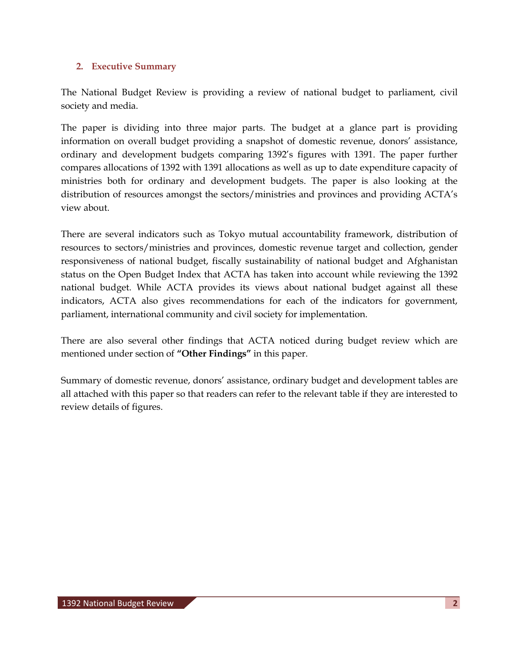## **2. Executive Summary**

The National Budget Review is providing a review of national budget to parliament, civil society and media.

The paper is dividing into three major parts. The budget at a glance part is providing information on overall budget providing a snapshot of domestic revenue, donors' assistance, ordinary and development budgets comparing 1392's figures with 1391. The paper further compares allocations of 1392 with 1391 allocations as well as up to date expenditure capacity of ministries both for ordinary and development budgets. The paper is also looking at the distribution of resources amongst the sectors/ministries and provinces and providing ACTA's view about.

There are several indicators such as Tokyo mutual accountability framework, distribution of resources to sectors/ministries and provinces, domestic revenue target and collection, gender responsiveness of national budget, fiscally sustainability of national budget and Afghanistan status on the Open Budget Index that ACTA has taken into account while reviewing the 1392 national budget. While ACTA provides its views about national budget against all these indicators, ACTA also gives recommendations for each of the indicators for government, parliament, international community and civil society for implementation.

There are also several other findings that ACTA noticed during budget review which are mentioned under section of **"Other Findings"** in this paper.

Summary of domestic revenue, donors' assistance, ordinary budget and development tables are all attached with this paper so that readers can refer to the relevant table if they are interested to review details of figures.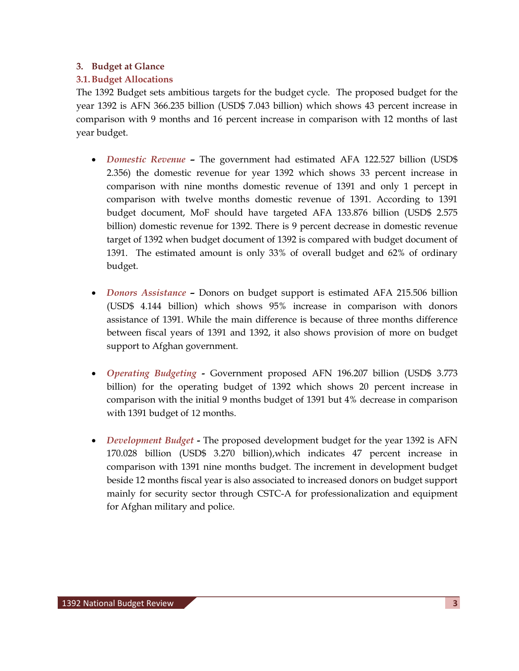### **3. Budget at Glance**

## **3.1.Budget Allocations**

The 1392 Budget sets ambitious targets for the budget cycle. The proposed budget for the year 1392 is AFN 366.235 billion (USD\$ 7.043 billion) which shows 43 percent increase in comparison with 9 months and 16 percent increase in comparison with 12 months of last year budget.

- *Domestic Revenue –* The government had estimated AFA 122.527 billion (USD\$ 2.356) the domestic revenue for year 1392 which shows 33 percent increase in comparison with nine months domestic revenue of 1391 and only 1 percept in comparison with twelve months domestic revenue of 1391. According to 1391 budget document, MoF should have targeted AFA 133.876 billion (USD\$ 2.575 billion) domestic revenue for 1392. There is 9 percent decrease in domestic revenue target of 1392 when budget document of 1392 is compared with budget document of 1391. The estimated amount is only 33% of overall budget and 62% of ordinary budget.
- *Donors Assistance –* Donors on budget support is estimated AFA 215.506 billion (USD\$ 4.144 billion) which shows 95% increase in comparison with donors assistance of 1391. While the main difference is because of three months difference between fiscal years of 1391 and 1392, it also shows provision of more on budget support to Afghan government.
- *Operating Budgeting -* Government proposed AFN 196.207 billion (USD\$ 3.773 billion) for the operating budget of 1392 which shows 20 percent increase in comparison with the initial 9 months budget of 1391 but 4% decrease in comparison with 1391 budget of 12 months.
- *Development Budget* **-** The proposed development budget for the year 1392 is AFN 170.028 billion (USD\$ 3.270 billion),which indicates 47 percent increase in comparison with 1391 nine months budget. The increment in development budget beside 12 months fiscal year is also associated to increased donors on budget support mainly for security sector through CSTC-A for professionalization and equipment for Afghan military and police.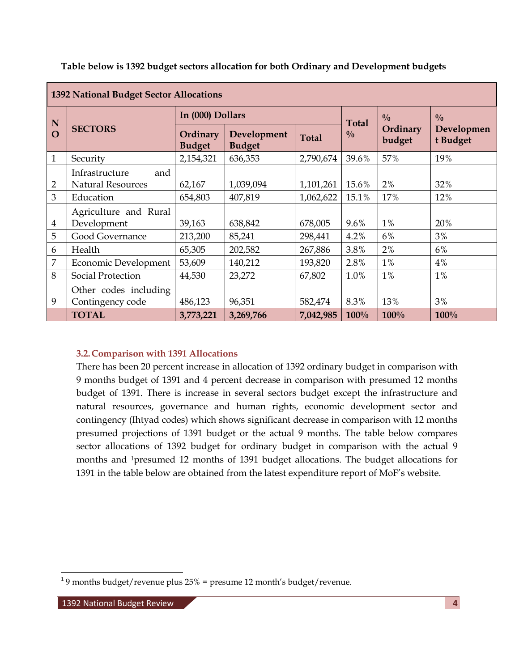| 1392 National Budget Sector Allocations |                                                   |                           |                              |              |               |                    |                        |
|-----------------------------------------|---------------------------------------------------|---------------------------|------------------------------|--------------|---------------|--------------------|------------------------|
| N                                       | <b>SECTORS</b>                                    | In (000) Dollars          |                              |              | <b>Total</b>  | 0/0                | $\frac{0}{0}$          |
| $\overline{O}$                          |                                                   | Ordinary<br><b>Budget</b> | Development<br><b>Budget</b> | <b>Total</b> | $\frac{0}{0}$ | Ordinary<br>budget | Developmen<br>t Budget |
| $\mathbf{1}$                            | Security                                          | 2,154,321                 | 636,353                      | 2,790,674    | 39.6%         | 57%                | 19%                    |
| $\overline{2}$                          | Infrastructure<br>and<br><b>Natural Resources</b> | 62,167                    | 1,039,094                    | 1,101,261    | 15.6%         | 2%                 | 32%                    |
| 3                                       | Education                                         | 654,803                   | 407,819                      | 1,062,622    | 15.1%         | 17%                | 12%                    |
| 4                                       | Agriculture and Rural<br>Development              | 39,163                    | 638,842                      | 678,005      | $9.6\%$       | $1\%$              | 20%                    |
| 5                                       | Good Governance                                   | 213,200                   | 85,241                       | 298,441      | 4.2%          | 6%                 | 3%                     |
| 6                                       | Health                                            | 65,305                    | 202,582                      | 267,886      | 3.8%          | 2%                 | 6%                     |
| 7                                       | Economic Development                              | 53,609                    | 140,212                      | 193,820      | 2.8%          | $1\%$              | 4%                     |
| 8                                       | Social Protection                                 | 44,530                    | 23,272                       | 67,802       | 1.0%          | 1%                 | 1%                     |
| 9                                       | Other codes including<br>Contingency code         | 486,123                   | 96,351                       | 582,474      | 8.3%          | 13%                | 3%                     |
|                                         | <b>TOTAL</b>                                      | 3,773,221                 | 3,269,766                    | 7,042,985    | 100%          | 100%               | 100%                   |

**Table below is 1392 budget sectors allocation for both Ordinary and Development budgets**

### **3.2.Comparison with 1391 Allocations**

There has been 20 percent increase in allocation of 1392 ordinary budget in comparison with 9 months budget of 1391 and 4 percent decrease in comparison with presumed 12 months budget of 1391. There is increase in several sectors budget except the infrastructure and natural resources, governance and human rights, economic development sector and contingency (Ihtyad codes) which shows significant decrease in comparison with 12 months presumed projections of 1391 budget or the actual 9 months. The table below compares sector allocations of 1392 budget for ordinary budget in comparison with the actual 9 months and 1presumed 12 months of 1391 budget allocations. The budget allocations for 1391 in the table below are obtained from the latest expenditure report of MoF's website.

 1 9 months budget/revenue plus 25% = presume 12 month's budget/revenue.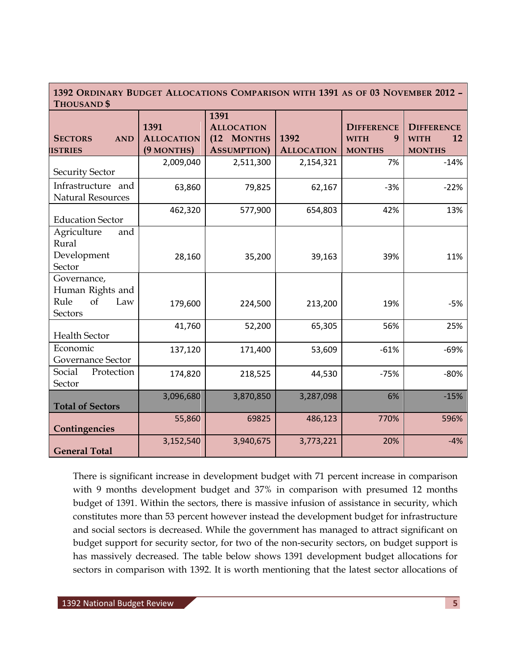## **1392 ORDINARY BUDGET ALLOCATIONS COMPARISON WITH 1391 AS OF 03 NOVEMBER 2012 – THOUSAND \$**

| L HUUSAND D                                                     |                                         |                                                               |                           |                                                        |                                                         |
|-----------------------------------------------------------------|-----------------------------------------|---------------------------------------------------------------|---------------------------|--------------------------------------------------------|---------------------------------------------------------|
| <b>SECTORS</b><br><b>AND</b><br><b>ISTRIES</b>                  | 1391<br><b>ALLOCATION</b><br>(9 MONTHS) | 1391<br><b>ALLOCATION</b><br>(12 MONTHS<br><b>ASSUMPTION)</b> | 1392<br><b>ALLOCATION</b> | <b>DIFFERENCE</b><br>9<br><b>WITH</b><br><b>MONTHS</b> | <b>DIFFERENCE</b><br>12<br><b>WITH</b><br><b>MONTHS</b> |
| <b>Security Sector</b>                                          | 2,009,040                               | 2,511,300                                                     | 2,154,321                 | 7%                                                     | $-14%$                                                  |
| Infrastructure and<br><b>Natural Resources</b>                  | 63,860                                  | 79,825                                                        | 62,167                    | $-3%$                                                  | $-22%$                                                  |
| <b>Education Sector</b>                                         | 462,320                                 | 577,900                                                       | 654,803                   | 42%                                                    | 13%                                                     |
| Agriculture<br>and<br>Rural<br>Development<br>Sector            | 28,160                                  | 35,200                                                        | 39,163                    | 39%                                                    | 11%                                                     |
| Governance,<br>Human Rights and<br>Rule<br>of<br>Law<br>Sectors | 179,600                                 | 224,500                                                       | 213,200                   | 19%                                                    | $-5%$                                                   |
| <b>Health Sector</b>                                            | 41,760                                  | 52,200                                                        | 65,305                    | 56%                                                    | 25%                                                     |
| Economic<br>Governance Sector                                   | 137,120                                 | 171,400                                                       | 53,609                    | $-61%$                                                 | $-69%$                                                  |
| Social<br>Protection<br>Sector                                  | 174,820                                 | 218,525                                                       | 44,530                    | $-75%$                                                 | $-80%$                                                  |
| <b>Total of Sectors</b>                                         | 3,096,680                               | 3,870,850                                                     | 3,287,098                 | 6%                                                     | $-15%$                                                  |
| Contingencies                                                   | 55,860                                  | 69825                                                         | 486,123                   | 770%                                                   | 596%                                                    |
| <b>General Total</b>                                            | 3,152,540                               | 3,940,675                                                     | 3,773,221                 | 20%                                                    | $-4%$                                                   |

There is significant increase in development budget with 71 percent increase in comparison with 9 months development budget and 37% in comparison with presumed 12 months budget of 1391. Within the sectors, there is massive infusion of assistance in security, which constitutes more than 53 percent however instead the development budget for infrastructure and social sectors is decreased. While the government has managed to attract significant on budget support for security sector, for two of the non-security sectors, on budget support is has massively decreased. The table below shows 1391 development budget allocations for sectors in comparison with 1392. It is worth mentioning that the latest sector allocations of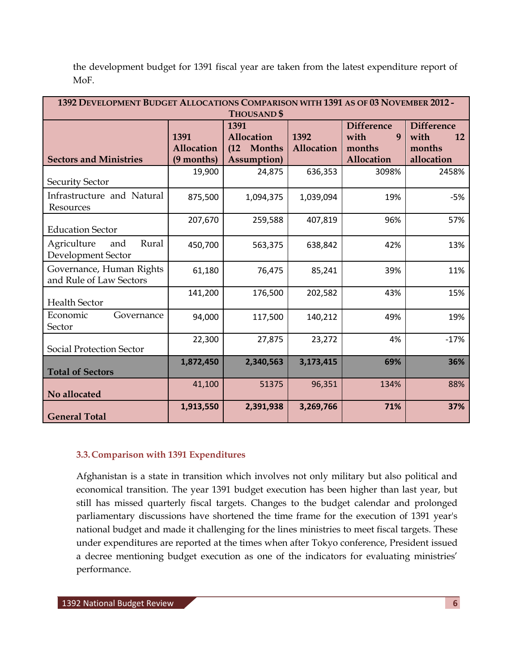| 1392 DEVELOPMENT BUDGET ALLOCATIONS COMPARISON WITH 1391 AS OF 03 NOVEMBER 2012 -<br><b>THOUSAND\$</b> |                                  |                                                         |                    |                                                        |                                                                |  |  |
|--------------------------------------------------------------------------------------------------------|----------------------------------|---------------------------------------------------------|--------------------|--------------------------------------------------------|----------------------------------------------------------------|--|--|
| <b>Sectors and Ministries</b>                                                                          | 1391<br>Allocation<br>(9 months) | 1391<br>Allocation<br>(12 Months<br><b>Assumption</b> ) | 1392<br>Allocation | <b>Difference</b><br>with<br>9<br>months<br>Allocation | <b>Difference</b><br>with<br><b>12</b><br>months<br>allocation |  |  |
| <b>Security Sector</b>                                                                                 | 19,900                           | 24,875                                                  | 636,353            | 3098%                                                  | 2458%                                                          |  |  |
| Infrastructure and Natural<br>Resources                                                                | 875,500                          | 1,094,375                                               | 1,039,094          | 19%                                                    | $-5%$                                                          |  |  |
| <b>Education Sector</b>                                                                                | 207,670                          | 259,588                                                 | 407,819            | 96%                                                    | 57%                                                            |  |  |
| Agriculture<br>Rural<br>and<br>Development Sector                                                      | 450,700                          | 563,375                                                 | 638,842            | 42%                                                    | 13%                                                            |  |  |
| Governance, Human Rights<br>and Rule of Law Sectors                                                    | 61,180                           | 76,475                                                  | 85,241             | 39%                                                    | 11%                                                            |  |  |
| <b>Health Sector</b>                                                                                   | 141,200                          | 176,500                                                 | 202,582            | 43%                                                    | 15%                                                            |  |  |
| Economic<br>Governance<br>Sector                                                                       | 94,000                           | 117,500                                                 | 140,212            | 49%                                                    | 19%                                                            |  |  |
| <b>Social Protection Sector</b>                                                                        | 22,300                           | 27,875                                                  | 23,272             | 4%                                                     | $-17%$                                                         |  |  |
| <b>Total of Sectors</b>                                                                                | 1,872,450                        | 2,340,563                                               | 3,173,415          | 69%                                                    | 36%                                                            |  |  |
| No allocated                                                                                           | 41,100                           | 51375                                                   | 96,351             | 134%                                                   | 88%                                                            |  |  |
| <b>General Total</b>                                                                                   | 1,913,550                        | 2,391,938                                               | 3,269,766          | 71%                                                    | 37%                                                            |  |  |

the development budget for 1391 fiscal year are taken from the latest expenditure report of MoF.

### **3.3.Comparison with 1391 Expenditures**

Afghanistan is a state in transition which involves not only military but also political and economical transition. The year 1391 budget execution has been higher than last year, but still has missed quarterly fiscal targets. Changes to the budget calendar and prolonged parliamentary discussions have shortened the time frame for the execution of 1391 year's national budget and made it challenging for the lines ministries to meet fiscal targets. These under expenditures are reported at the times when after Tokyo conference, President issued a decree mentioning budget execution as one of the indicators for evaluating ministries' performance.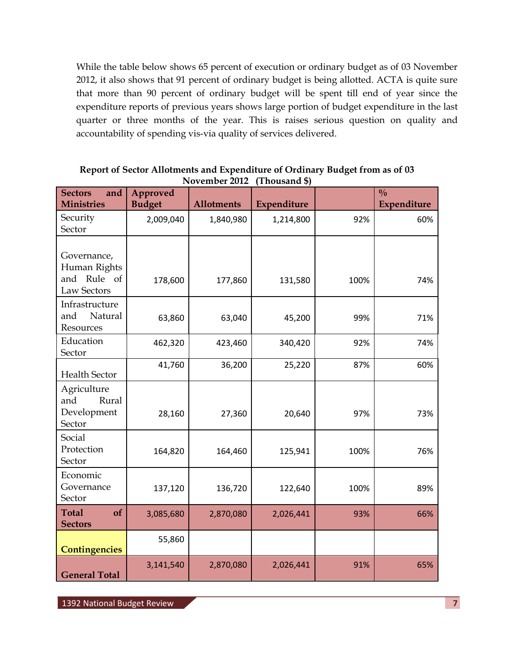While the table below shows 65 percent of execution or ordinary budget as of 03 November 2012, it also shows that 91 percent of ordinary budget is being allotted. ACTA is quite sure that more than 90 percent of ordinary budget will be spent till end of year since the expenditure reports of previous years shows large portion of budget expenditure in the last quarter or three months of the year. This is raises serious question on quality and accountability of spending vis-via quality of services delivered.

| <b>Sectors</b><br>and<br><b>Ministries</b>                | Approved<br><b>Budget</b> | <b>Allotments</b> | Expenditure |      | $\frac{0}{0}$<br>Expenditure |
|-----------------------------------------------------------|---------------------------|-------------------|-------------|------|------------------------------|
| Security                                                  | 2,009,040                 | 1,840,980         | 1,214,800   | 92%  | 60%                          |
| Sector                                                    |                           |                   |             |      |                              |
| Governance,<br>Human Rights<br>and Rule of<br>Law Sectors | 178,600                   | 177,860           | 131,580     | 100% | 74%                          |
| Infrastructure<br>and<br>Natural<br>Resources             | 63,860                    | 63,040            | 45,200      | 99%  | 71%                          |
| Education<br>Sector                                       | 462,320                   | 423,460           | 340,420     | 92%  | 74%                          |
| <b>Health Sector</b>                                      | 41,760                    | 36,200            | 25,220      | 87%  | 60%                          |
| Agriculture<br>and<br>Rural<br>Development<br>Sector      | 28,160                    | 27,360            | 20,640      | 97%  | 73%                          |
| Social<br>Protection<br>Sector                            | 164,820                   | 164,460           | 125,941     | 100% | 76%                          |
| Economic<br>Governance<br>Sector                          | 137,120                   | 136,720           | 122,640     | 100% | 89%                          |
| <b>Total</b><br>of<br><b>Sectors</b>                      | 3,085,680                 | 2,870,080         | 2,026,441   | 93%  | 66%                          |
| <b>Contingencies</b>                                      | 55,860                    |                   |             |      |                              |
| <b>General Total</b>                                      | 3,141,540                 | 2,870,080         | 2,026,441   | 91%  | 65%                          |

**Report of Sector Allotments and Expenditure of Ordinary Budget from as of 03 November 2012 (Thousand \$)**

1392 National Budget Review **7**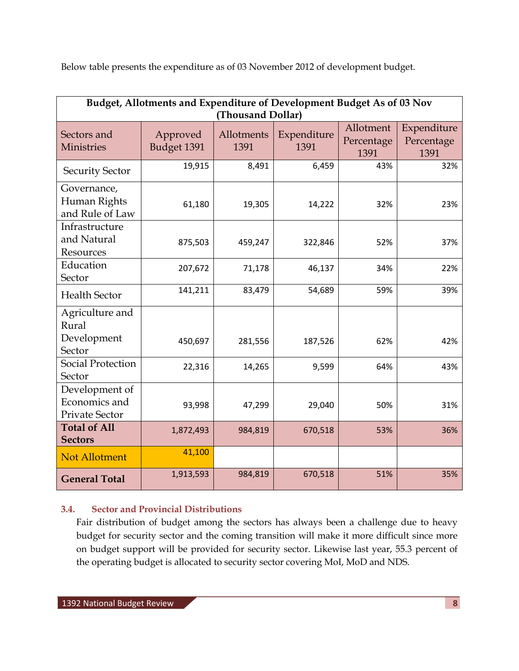Below table presents the expenditure as of 03 November 2012 of development budget.

| Budget, Allotments and Expenditure of Development Budget As of 03 Nov<br>(Thousand Dollar) |                         |                    |                     |                                 |                                   |  |  |
|--------------------------------------------------------------------------------------------|-------------------------|--------------------|---------------------|---------------------------------|-----------------------------------|--|--|
| Sectors and<br><b>Ministries</b>                                                           | Approved<br>Budget 1391 | Allotments<br>1391 | Expenditure<br>1391 | Allotment<br>Percentage<br>1391 | Expenditure<br>Percentage<br>1391 |  |  |
| <b>Security Sector</b>                                                                     | 19,915                  | 8,491              | 6,459               | 43%                             | 32%                               |  |  |
| Governance,<br>Human Rights<br>and Rule of Law                                             | 61,180                  | 19,305             | 14,222              | 32%                             | 23%                               |  |  |
| Infrastructure<br>and Natural<br>Resources                                                 | 875,503                 | 459,247            | 322,846             | 52%                             | 37%                               |  |  |
| Education<br>Sector                                                                        | 207,672                 | 71,178             | 46,137              | 34%                             | 22%                               |  |  |
| <b>Health Sector</b>                                                                       | 141,211                 | 83,479             | 54,689              | 59%                             | 39%                               |  |  |
| Agriculture and<br>Rural<br>Development<br>Sector                                          | 450,697                 | 281,556            | 187,526             | 62%                             | 42%                               |  |  |
| Social Protection<br>Sector                                                                | 22,316                  | 14,265             | 9,599               | 64%                             | 43%                               |  |  |
| Development of<br>Economics and<br><b>Private Sector</b>                                   | 93,998                  | 47,299             | 29,040              | 50%                             | 31%                               |  |  |
| <b>Total of All</b><br><b>Sectors</b>                                                      | 1,872,493               | 984,819            | 670,518             | 53%                             | 36%                               |  |  |
| <b>Not Allotment</b>                                                                       | 41,100                  |                    |                     |                                 |                                   |  |  |
| <b>General Total</b>                                                                       | 1,913,593               | 984,819            | 670,518             | 51%                             | 35%                               |  |  |

# **3.4. Sector and Provincial Distributions**

Fair distribution of budget among the sectors has always been a challenge due to heavy budget for security sector and the coming transition will make it more difficult since more on budget support will be provided for security sector. Likewise last year, 55.3 percent of the operating budget is allocated to security sector covering MoI, MoD and NDS.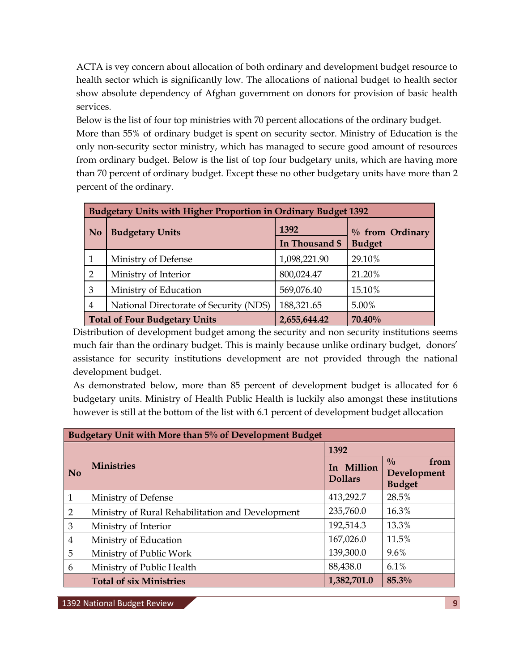ACTA is vey concern about allocation of both ordinary and development budget resource to health sector which is significantly low. The allocations of national budget to health sector show absolute dependency of Afghan government on donors for provision of basic health services.

Below is the list of four top ministries with 70 percent allocations of the ordinary budget. More than 55% of ordinary budget is spent on security sector. Ministry of Education is the only non-security sector ministry, which has managed to secure good amount of resources from ordinary budget. Below is the list of top four budgetary units, which are having more than 70 percent of ordinary budget. Except these no other budgetary units have more than 2 percent of the ordinary.

| <b>Budgetary Units with Higher Proportion in Ordinary Budget 1392</b> |                                        |                |                                  |  |  |  |
|-----------------------------------------------------------------------|----------------------------------------|----------------|----------------------------------|--|--|--|
| N <sub>0</sub>                                                        | <b>Budgetary Units</b>                 | 1392           | % from Ordinary<br><b>Budget</b> |  |  |  |
|                                                                       |                                        | In Thousand \$ |                                  |  |  |  |
|                                                                       | Ministry of Defense                    | 1,098,221.90   | 29.10%                           |  |  |  |
| 2                                                                     | Ministry of Interior                   | 800,024.47     | 21.20%                           |  |  |  |
| 3                                                                     | Ministry of Education                  | 569,076.40     | 15.10%                           |  |  |  |
| 4                                                                     | National Directorate of Security (NDS) | 188,321.65     | 5.00%                            |  |  |  |
| 70.40%<br><b>Total of Four Budgetary Units</b><br>2,655,644.42        |                                        |                |                                  |  |  |  |

Distribution of development budget among the security and non security institutions seems much fair than the ordinary budget. This is mainly because unlike ordinary budget, donors' assistance for security institutions development are not provided through the national development budget.

As demonstrated below, more than 85 percent of development budget is allocated for 6 budgetary units. Ministry of Health Public Health is luckily also amongst these institutions however is still at the bottom of the list with 6.1 percent of development budget allocation

| Budgetary Unit with More than 5% of Development Budget |                                                  |                              |                                                       |  |  |  |
|--------------------------------------------------------|--------------------------------------------------|------------------------------|-------------------------------------------------------|--|--|--|
|                                                        |                                                  | 1392                         |                                                       |  |  |  |
| <b>No</b>                                              | <b>Ministries</b>                                | In Million<br><b>Dollars</b> | $\frac{0}{0}$<br>from<br>Development<br><b>Budget</b> |  |  |  |
| $\mathbf{1}$                                           | Ministry of Defense                              | 413,292.7                    | 28.5%                                                 |  |  |  |
| $\overline{2}$                                         | Ministry of Rural Rehabilitation and Development | 235,760.0                    | 16.3%                                                 |  |  |  |
| 3                                                      | Ministry of Interior                             | 192,514.3                    | 13.3%                                                 |  |  |  |
| $\overline{4}$                                         | Ministry of Education                            | 167,026.0                    | 11.5%                                                 |  |  |  |
| 5                                                      | Ministry of Public Work                          | 139,300.0                    | $9.6\%$                                               |  |  |  |
| 6                                                      | Ministry of Public Health                        | 88,438.0                     | 6.1%                                                  |  |  |  |
|                                                        | <b>Total of six Ministries</b>                   | 1,382,701.0                  | 85.3%                                                 |  |  |  |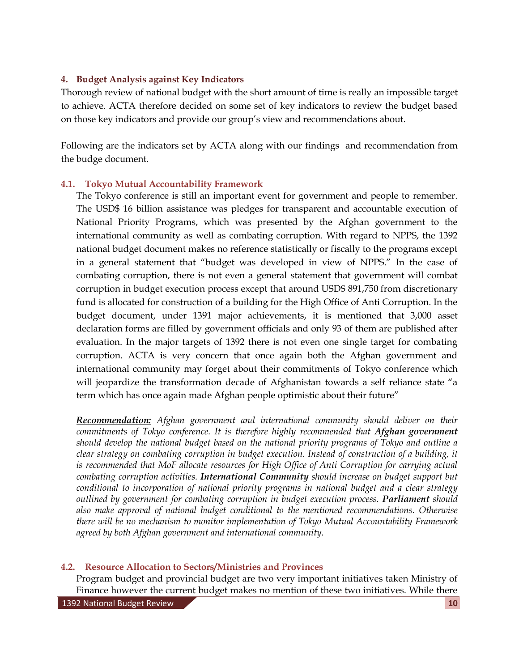### **4. Budget Analysis against Key Indicators**

Thorough review of national budget with the short amount of time is really an impossible target to achieve. ACTA therefore decided on some set of key indicators to review the budget based on those key indicators and provide our group's view and recommendations about.

Following are the indicators set by ACTA along with our findings and recommendation from the budge document.

### **4.1. Tokyo Mutual Accountability Framework**

The Tokyo conference is still an important event for government and people to remember. The USD\$ 16 billion assistance was pledges for transparent and accountable execution of National Priority Programs, which was presented by the Afghan government to the international community as well as combating corruption. With regard to NPPS, the 1392 national budget document makes no reference statistically or fiscally to the programs except in a general statement that "budget was developed in view of NPPS." In the case of combating corruption, there is not even a general statement that government will combat corruption in budget execution process except that around USD\$ 891,750 from discretionary fund is allocated for construction of a building for the High Office of Anti Corruption. In the budget document, under 1391 major achievements, it is mentioned that 3,000 asset declaration forms are filled by government officials and only 93 of them are published after evaluation. In the major targets of 1392 there is not even one single target for combating corruption. ACTA is very concern that once again both the Afghan government and international community may forget about their commitments of Tokyo conference which will jeopardize the transformation decade of Afghanistan towards a self reliance state "a term which has once again made Afghan people optimistic about their future"

*Recommendation: Afghan government and international community should deliver on their commitments of Tokyo conference. It is therefore highly recommended that Afghan government should develop the national budget based on the national priority programs of Tokyo and outline a clear strategy on combating corruption in budget execution. Instead of construction of a building, it*  is recommended that MoF allocate resources for High Office of Anti Corruption for carrying actual *combating corruption activities. International Community should increase on budget support but conditional to incorporation of national priority programs in national budget and a clear strategy outlined by government for combating corruption in budget execution process. Parliament should also make approval of national budget conditional to the mentioned recommendations. Otherwise there will be no mechanism to monitor implementation of Tokyo Mutual Accountability Framework agreed by both Afghan government and international community.* 

### **4.2. Resource Allocation to Sectors/Ministries and Provinces**

Program budget and provincial budget are two very important initiatives taken Ministry of Finance however the current budget makes no mention of these two initiatives. While there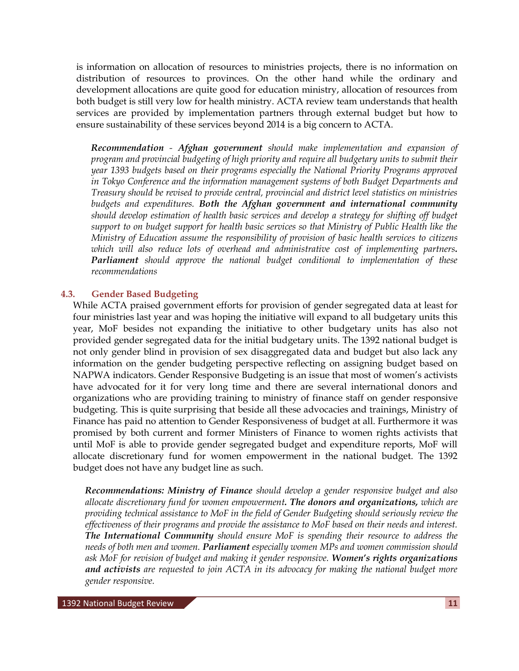is information on allocation of resources to ministries projects, there is no information on distribution of resources to provinces. On the other hand while the ordinary and development allocations are quite good for education ministry, allocation of resources from both budget is still very low for health ministry. ACTA review team understands that health services are provided by implementation partners through external budget but how to ensure sustainability of these services beyond 2014 is a big concern to ACTA.

*Recommendation - Afghan government should make implementation and expansion of program and provincial budgeting of high priority and require all budgetary units to submit their year 1393 budgets based on their programs especially the National Priority Programs approved in Tokyo Conference and the information management systems of both Budget Departments and Treasury should be revised to provide central, provincial and district level statistics on ministries budgets and expenditures. Both the Afghan government and international community should develop estimation of health basic services and develop a strategy for shifting off budget support to on budget support for health basic services so that Ministry of Public Health like the Ministry of Education assume the responsibility of provision of basic health services to citizens which will also reduce lots of overhead and administrative cost of implementing partners. Parliament should approve the national budget conditional to implementation of these recommendations* 

### **4.3. Gender Based Budgeting**

While ACTA praised government efforts for provision of gender segregated data at least for four ministries last year and was hoping the initiative will expand to all budgetary units this year, MoF besides not expanding the initiative to other budgetary units has also not provided gender segregated data for the initial budgetary units. The 1392 national budget is not only gender blind in provision of sex disaggregated data and budget but also lack any information on the gender budgeting perspective reflecting on assigning budget based on NAPWA indicators. Gender Responsive Budgeting is an issue that most of women's activists have advocated for it for very long time and there are several international donors and organizations who are providing training to ministry of finance staff on gender responsive budgeting. This is quite surprising that beside all these advocacies and trainings, Ministry of Finance has paid no attention to Gender Responsiveness of budget at all. Furthermore it was promised by both current and former Ministers of Finance to women rights activists that until MoF is able to provide gender segregated budget and expenditure reports, MoF will allocate discretionary fund for women empowerment in the national budget. The 1392 budget does not have any budget line as such.

*Recommendations: Ministry of Finance should develop a gender responsive budget and also allocate discretionary fund for women empowerment. The donors and organizations, which are providing technical assistance to MoF in the field of Gender Budgeting should seriously review the effectiveness of their programs and provide the assistance to MoF based on their needs and interest. The International Community should ensure MoF is spending their resource to address the needs of both men and women. Parliament especially women MPs and women commission should ask MoF for revision of budget and making it gender responsive. Women's rights organizations and activists are requested to join ACTA in its advocacy for making the national budget more gender responsive.*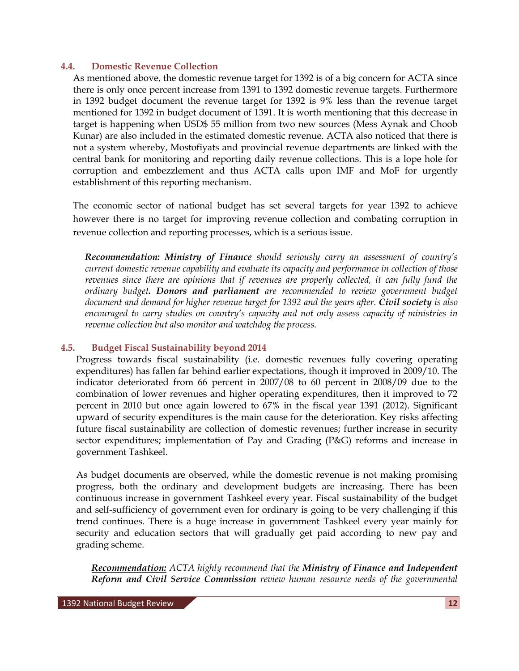#### **4.4. Domestic Revenue Collection**

As mentioned above, the domestic revenue target for 1392 is of a big concern for ACTA since there is only once percent increase from 1391 to 1392 domestic revenue targets. Furthermore in 1392 budget document the revenue target for 1392 is 9% less than the revenue target mentioned for 1392 in budget document of 1391. It is worth mentioning that this decrease in target is happening when USD\$ 55 million from two new sources (Mess Aynak and Choob Kunar) are also included in the estimated domestic revenue. ACTA also noticed that there is not a system whereby, Mostofiyats and provincial revenue departments are linked with the central bank for monitoring and reporting daily revenue collections. This is a lope hole for corruption and embezzlement and thus ACTA calls upon IMF and MoF for urgently establishment of this reporting mechanism.

The economic sector of national budget has set several targets for year 1392 to achieve however there is no target for improving revenue collection and combating corruption in revenue collection and reporting processes, which is a serious issue.

*Recommendation: Ministry of Finance should seriously carry an assessment of country's current domestic revenue capability and evaluate its capacity and performance in collection of those revenues since there are opinions that if revenues are properly collected, it can fully fund the ordinary budget. Donors and parliament are recommended to review government budget document and demand for higher revenue target for 1392 and the years after. Civil society is also encouraged to carry studies on country's capacity and not only assess capacity of ministries in revenue collection but also monitor and watchdog the process.* 

### **4.5. Budget Fiscal Sustainability beyond 2014**

Progress towards fiscal sustainability (i.e. domestic revenues fully covering operating expenditures) has fallen far behind earlier expectations, though it improved in 2009/10. The indicator deteriorated from 66 percent in 2007/08 to 60 percent in 2008/09 due to the combination of lower revenues and higher operating expenditures, then it improved to 72 percent in 2010 but once again lowered to 67% in the fiscal year 1391 (2012). Significant upward of security expenditures is the main cause for the deterioration. Key risks affecting future fiscal sustainability are collection of domestic revenues; further increase in security sector expenditures; implementation of Pay and Grading (P&G) reforms and increase in government Tashkeel.

As budget documents are observed, while the domestic revenue is not making promising progress, both the ordinary and development budgets are increasing. There has been continuous increase in government Tashkeel every year. Fiscal sustainability of the budget and self-sufficiency of government even for ordinary is going to be very challenging if this trend continues. There is a huge increase in government Tashkeel every year mainly for security and education sectors that will gradually get paid according to new pay and grading scheme.

*Recommendation: ACTA highly recommend that the Ministry of Finance and Independent Reform and Civil Service Commission review human resource needs of the governmental*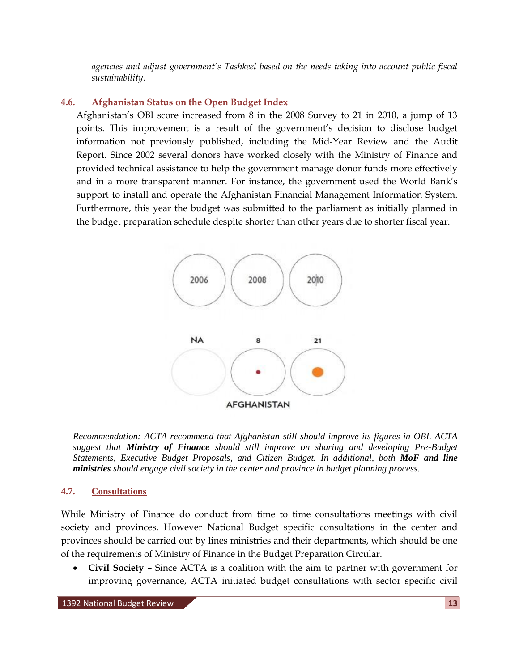*agencies and adjust government's Tashkeel based on the needs taking into account public fiscal sustainability.* 

## **4.6. Afghanistan Status on the Open Budget Index**

Afghanistan's OBI score increased from 8 in the 2008 Survey to 21 in 2010, a jump of 13 points. This improvement is a result of the government's decision to disclose budget information not previously published, including the Mid-Year Review and the Audit Report. Since 2002 several donors have worked closely with the Ministry of Finance and provided technical assistance to help the government manage donor funds more effectively and in a more transparent manner. For instance, the government used the World Bank's support to install and operate the Afghanistan Financial Management Information System. Furthermore, this year the budget was submitted to the parliament as initially planned in the budget preparation schedule despite shorter than other years due to shorter fiscal year.



*Recommendation: ACTA recommend that Afghanistan still should improve its figures in OBI. ACTA suggest that Ministry of Finance should still improve on sharing and developing Pre-Budget Statements, Executive Budget Proposals, and Citizen Budget. In additional, both MoF and line ministries should engage civil society in the center and province in budget planning process.* 

### **4.7. Consultations**

While Ministry of Finance do conduct from time to time consultations meetings with civil society and provinces. However National Budget specific consultations in the center and provinces should be carried out by lines ministries and their departments, which should be one of the requirements of Ministry of Finance in the Budget Preparation Circular.

 **Civil Society –** Since ACTA is a coalition with the aim to partner with government for improving governance, ACTA initiated budget consultations with sector specific civil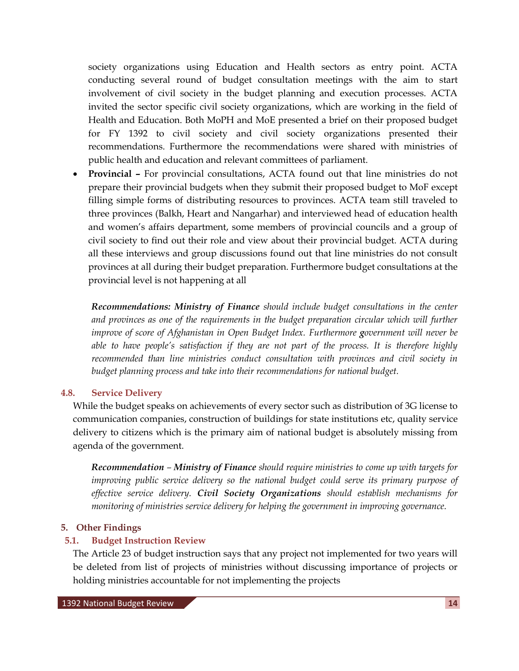society organizations using Education and Health sectors as entry point. ACTA conducting several round of budget consultation meetings with the aim to start involvement of civil society in the budget planning and execution processes. ACTA invited the sector specific civil society organizations, which are working in the field of Health and Education. Both MoPH and MoE presented a brief on their proposed budget for FY 1392 to civil society and civil society organizations presented their recommendations. Furthermore the recommendations were shared with ministries of public health and education and relevant committees of parliament.

 **Provincial –** For provincial consultations, ACTA found out that line ministries do not prepare their provincial budgets when they submit their proposed budget to MoF except filling simple forms of distributing resources to provinces. ACTA team still traveled to three provinces (Balkh, Heart and Nangarhar) and interviewed head of education health and women's affairs department, some members of provincial councils and a group of civil society to find out their role and view about their provincial budget. ACTA during all these interviews and group discussions found out that line ministries do not consult provinces at all during their budget preparation. Furthermore budget consultations at the provincial level is not happening at all

*Recommendations: Ministry of Finance should include budget consultations in the center and provinces as one of the requirements in the budget preparation circular which will further improve of score of Afghanistan in Open Budget Index. Furthermore government will never be able to have people's satisfaction if they are not part of the process. It is therefore highly recommended than line ministries conduct consultation with provinces and civil society in budget planning process and take into their recommendations for national budget.* 

### **4.8. Service Delivery**

While the budget speaks on achievements of every sector such as distribution of 3G license to communication companies, construction of buildings for state institutions etc, quality service delivery to citizens which is the primary aim of national budget is absolutely missing from agenda of the government.

*Recommendation – Ministry of Finance should require ministries to come up with targets for improving public service delivery so the national budget could serve its primary purpose of effective service delivery. Civil Society Organizations should establish mechanisms for monitoring of ministries service delivery for helping the government in improving governance.*

#### **5. Other Findings**

### **5.1. Budget Instruction Review**

The Article 23 of budget instruction says that any project not implemented for two years will be deleted from list of projects of ministries without discussing importance of projects or holding ministries accountable for not implementing the projects